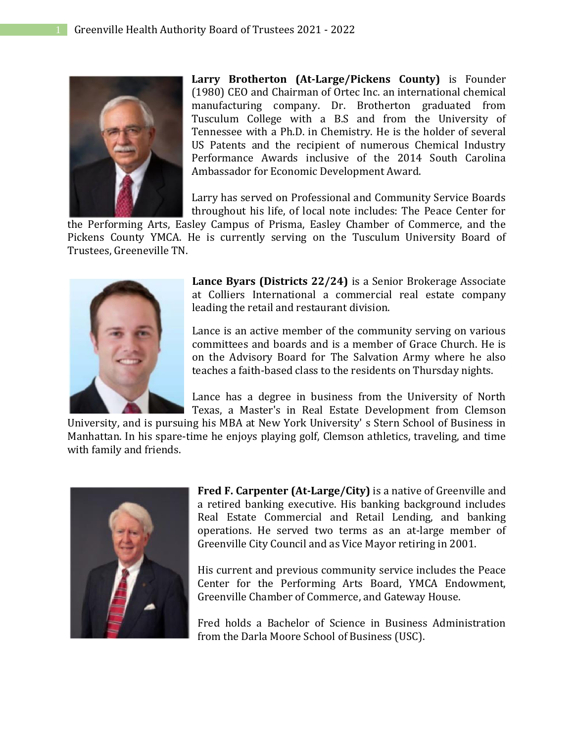

**Larry Brotherton (At-Large/Pickens County)** is Founder (1980) CEO and Chairman of Ortec Inc. an international chemical manufacturing company. Dr. Brotherton graduated from Tusculum College with a B.S and from the University of Tennessee with a Ph.D. in Chemistry. He is the holder of several US Patents and the recipient of numerous Chemical Industry Performance Awards inclusive of the 2014 South Carolina Ambassador for Economic Development Award.

Larry has served on Professional and Community Service Boards throughout his life, of local note includes: The Peace Center for

the Performing Arts, Easley Campus of Prisma, Easley Chamber of Commerce, and the Pickens County YMCA. He is currently serving on the Tusculum University Board of Trustees, Greeneville TN.



**Lance Byars (Districts 22/24)** is a Senior Brokerage Associate at Colliers International a commercial real estate company leading the retail and restaurant division.

Lance is an active member of the community serving on various committees and boards and is a member of Grace Church. He is on the Advisory Board for The Salvation Army where he also teaches a faith-based class to the residents on Thursday nights.

Lance has a degree in business from the University of North Texas, a Master's in Real Estate Development from Clemson

University, and is pursuing his MBA at New York University' s Stern School of Business in Manhattan. In his spare-time he enjoys playing golf, Clemson athletics, traveling, and time with family and friends.



**Fred F. Carpenter (At-Large/City)** is a native of Greenville and a retired banking executive. His banking background includes Real Estate Commercial and Retail Lending, and banking operations. He served two terms as an at-large member of Greenville City Council and as Vice Mayor retiring in 2001.

His current and previous community service includes the Peace Center for the Performing Arts Board, YMCA Endowment, Greenville Chamber of Commerce, and Gateway House.

Fred holds a Bachelor of Science in Business Administration from the Darla Moore School of Business (USC).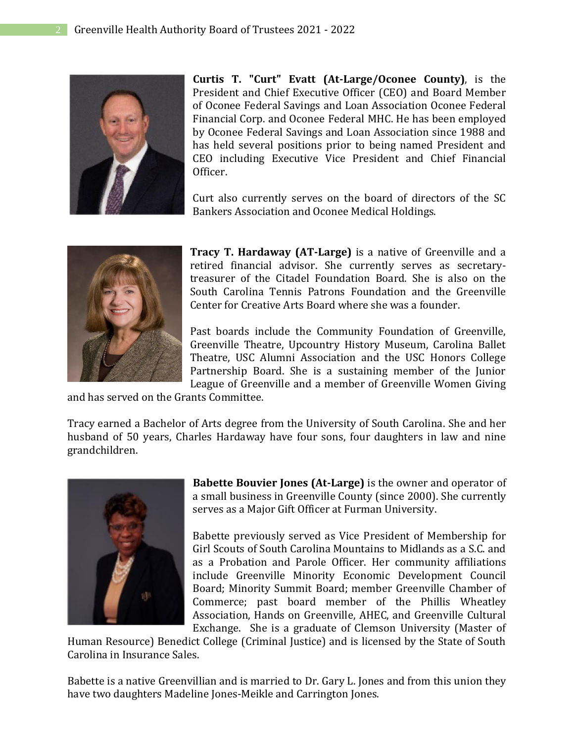

**Curtis T. "Curt" Evatt (At-Large/Oconee County)**, is the President and Chief Executive Officer (CEO) and Board Member of Oconee Federal Savings and Loan Association Oconee Federal Financial Corp. and Oconee Federal MHC. He has been employed by Oconee Federal Savings and Loan Association since 1988 and has held several positions prior to being named President and CEO including Executive Vice President and Chief Financial Officer.

Curt also currently serves on the board of directors of the SC Bankers Association and Oconee Medical Holdings.



**Tracy T. Hardaway (AT-Large)** is a native of Greenville and a retired financial advisor. She currently serves as secretarytreasurer of the Citadel Foundation Board. She is also on the South Carolina Tennis Patrons Foundation and the Greenville Center for Creative Arts Board where she was a founder.

Past boards include the Community Foundation of Greenville, Greenville Theatre, Upcountry History Museum, Carolina Ballet Theatre, USC Alumni Association and the USC Honors College Partnership Board. She is a sustaining member of the Junior League of Greenville and a member of Greenville Women Giving

and has served on the Grants Committee.

Tracy earned a Bachelor of Arts degree from the University of South Carolina. She and her husband of 50 years, Charles Hardaway have four sons, four daughters in law and nine grandchildren.



**Babette Bouvier Jones (At-Large)** is the owner and operator of a small business in Greenville County (since 2000). She currently serves as a Major Gift Officer at Furman University.

Babette previously served as Vice President of Membership for Girl Scouts of South Carolina Mountains to Midlands as a S.C. and as a Probation and Parole Officer. Her community affiliations include Greenville Minority Economic Development Council Board; Minority Summit Board; member Greenville Chamber of Commerce; past board member of the Phillis Wheatley Association, Hands on Greenville, AHEC, and Greenville Cultural Exchange. She is a graduate of Clemson University (Master of

Human Resource) Benedict College (Criminal Justice) and is licensed by the State of South Carolina in Insurance Sales.

Babette is a native Greenvillian and is married to Dr. Gary L. Jones and from this union they have two daughters Madeline Jones-Meikle and Carrington Jones.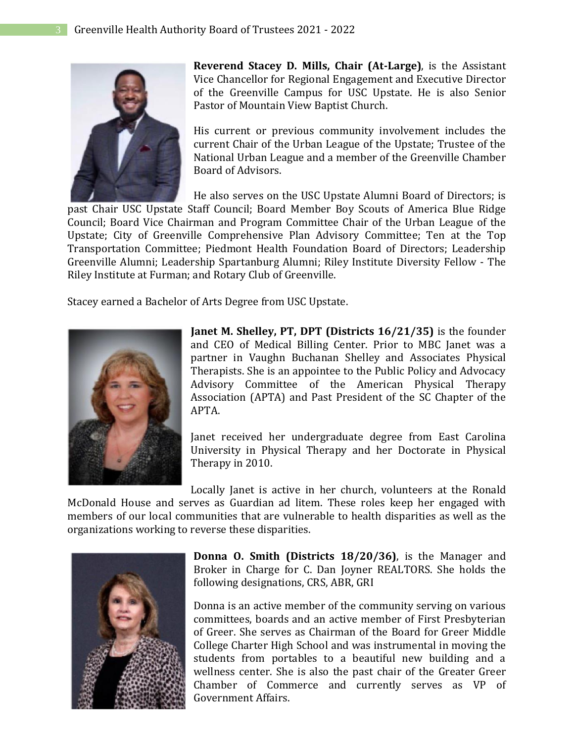

**Reverend Stacey D. Mills, Chair (At-Large)**, is the Assistant Vice Chancellor for Regional Engagement and Executive Director of the Greenville Campus for USC Upstate. He is also Senior Pastor of Mountain View Baptist Church.

His current or previous community involvement includes the current Chair of the Urban League of the Upstate; Trustee of the National Urban League and a member of the Greenville Chamber Board of Advisors.

He also serves on the USC Upstate Alumni Board of Directors; is past Chair USC Upstate Staff Council; Board Member Boy Scouts of America Blue Ridge Council; Board Vice Chairman and Program Committee Chair of the Urban League of the Upstate; City of Greenville Comprehensive Plan Advisory Committee; Ten at the Top Transportation Committee; Piedmont Health Foundation Board of Directors; Leadership Greenville Alumni; Leadership Spartanburg Alumni; Riley Institute Diversity Fellow - The Riley Institute at Furman; and Rotary Club of Greenville.

Stacey earned a Bachelor of Arts Degree from USC Upstate.



**Janet M. Shelley, PT, DPT (Districts 16/21/35)** is the founder and CEO of Medical Billing Center. Prior to MBC Janet was a partner in Vaughn Buchanan Shelley and Associates Physical Therapists. She is an appointee to the Public Policy and Advocacy Advisory Committee of the American Physical Therapy Association (APTA) and Past President of the SC Chapter of the APTA.

Janet received her undergraduate degree from East Carolina University in Physical Therapy and her Doctorate in Physical Therapy in 2010.

Locally Janet is active in her church, volunteers at the Ronald

McDonald House and serves as Guardian ad litem. These roles keep her engaged with members of our local communities that are vulnerable to health disparities as well as the organizations working to reverse these disparities.



**Donna O. Smith (Districts 18/20/36)**, is the Manager and Broker in Charge for C. Dan Joyner REALTORS. She holds the following designations, CRS, ABR, GRI

Donna is an active member of the community serving on various committees, boards and an active member of First Presbyterian of Greer. She serves as Chairman of the Board for Greer Middle College Charter High School and was instrumental in moving the students from portables to a beautiful new building and a wellness center. She is also the past chair of the Greater Greer Chamber of Commerce and currently serves as VP of Government Affairs.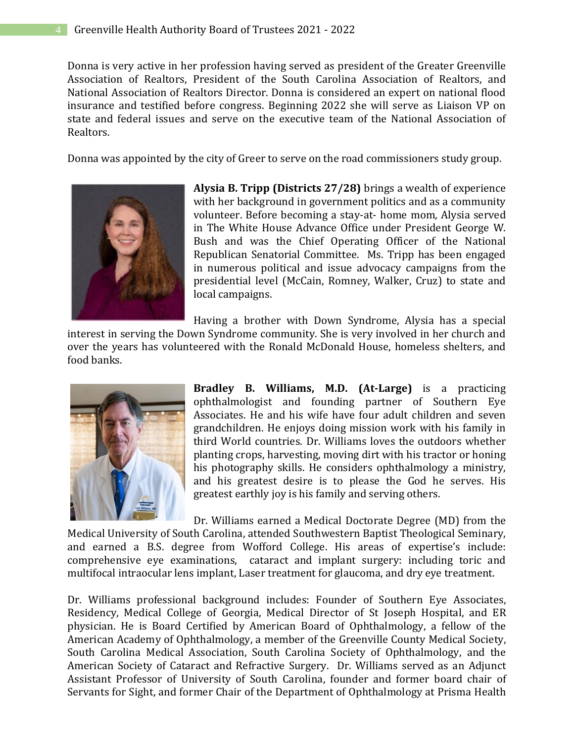Donna is very active in her profession having served as president of the Greater Greenville Association of Realtors, President of the South Carolina Association of Realtors, and National Association of Realtors Director. Donna is considered an expert on national flood insurance and testified before congress. Beginning 2022 she will serve as Liaison VP on state and federal issues and serve on the executive team of the National Association of Realtors.

Donna was appointed by the city of Greer to serve on the road commissioners study group.



**Alysia B. Tripp (Districts 27/28)** brings a wealth of experience with her background in government politics and as a community volunteer. Before becoming a stay-at- home mom, Alysia served in The White House Advance Office under President George W. Bush and was the Chief Operating Officer of the National Republican Senatorial Committee. Ms. Tripp has been engaged in numerous political and issue advocacy campaigns from the presidential level (McCain, Romney, Walker, Cruz) to state and local campaigns.

Having a brother with Down Syndrome, Alysia has a special interest in serving the Down Syndrome community. She is very involved in her church and over the years has volunteered with the Ronald McDonald House, homeless shelters, and food banks.



**Bradley B. Williams, M.D. (At-Large)** is a practicing ophthalmologist and founding partner of Southern Eye Associates. He and his wife have four adult children and seven grandchildren. He enjoys doing mission work with his family in third World countries. Dr. Williams loves the outdoors whether planting crops, harvesting, moving dirt with his tractor or honing his photography skills. He considers ophthalmology a ministry, and his greatest desire is to please the God he serves. His greatest earthly joy is his family and serving others.

Dr. Williams earned a Medical Doctorate Degree (MD) from the Medical University of South Carolina, attended Southwestern Baptist Theological Seminary, and earned a B.S. degree from Wofford College. His areas of expertise's include: comprehensive eye examinations, cataract and implant surgery: including toric and multifocal intraocular lens implant, Laser treatment for glaucoma, and dry eye treatment.

Dr. Williams professional background includes: Founder of Southern Eye Associates, Residency, Medical College of Georgia, Medical Director of St Joseph Hospital, and ER physician. He is Board Certified by American Board of Ophthalmology, a fellow of the American Academy of Ophthalmology, a member of the Greenville County Medical Society, South Carolina Medical Association, South Carolina Society of Ophthalmology, and the American Society of Cataract and Refractive Surgery. Dr. Williams served as an Adjunct Assistant Professor of University of South Carolina, founder and former board chair of Servants for Sight, and former Chair of the Department of Ophthalmology at Prisma Health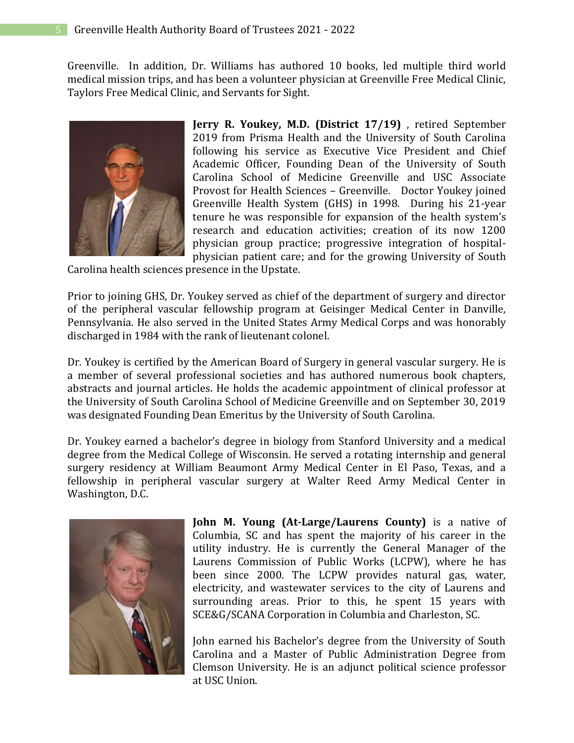Greenville. In addition, Dr. Williams has authored 10 books, led multiple third world medical mission trips, and has been a volunteer physician at Greenville Free Medical Clinic, Taylors Free Medical Clinic, and Servants for Sight.



**Jerry R. Youkey, M.D. (District 17/19)** , retired September 2019 from Prisma Health and the University of South Carolina following his service as Executive Vice President and Chief Academic Officer, Founding Dean of the University of South Carolina School of Medicine Greenville and USC Associate Provost for Health Sciences – Greenville. Doctor Youkey joined Greenville Health System (GHS) in 1998. During his 21-year tenure he was responsible for expansion of the health system's research and education activities; creation of its now 1200 physician group practice; progressive integration of hospitalphysician patient care; and for the growing University of South

Carolina health sciences presence in the Upstate.

Prior to joining GHS, Dr. Youkey served as chief of the department of surgery and director of the peripheral vascular fellowship program at Geisinger Medical Center in Danville, Pennsylvania. He also served in the United States Army Medical Corps and was honorably discharged in 1984 with the rank of lieutenant colonel.

Dr. Youkey is certified by the American Board of Surgery in general vascular surgery. He is a member of several professional societies and has authored numerous book chapters, abstracts and journal articles. He holds the academic appointment of clinical professor at the University of South Carolina School of Medicine Greenville and on September 30, 2019 was designated Founding Dean Emeritus by the University of South Carolina.

Dr. Youkey earned a bachelor's degree in biology from Stanford University and a medical degree from the Medical College of Wisconsin. He served a rotating internship and general surgery residency at William Beaumont Army Medical Center in El Paso, Texas, and a fellowship in peripheral vascular surgery at Walter Reed Army Medical Center in Washington, D.C.



**John M. Young (At-Large/Laurens County)** is a native of Columbia, SC and has spent the majority of his career in the utility industry. He is currently the General Manager of the Laurens Commission of Public Works (LCPW), where he has been since 2000. The LCPW provides natural gas, water, electricity, and wastewater services to the city of Laurens and surrounding areas. Prior to this, he spent 15 years with SCE&G/SCANA Corporation in Columbia and Charleston, SC.

John earned his Bachelor's degree from the University of South Carolina and a Master of Public Administration Degree from Clemson University. He is an adjunct political science professor at USC Union.